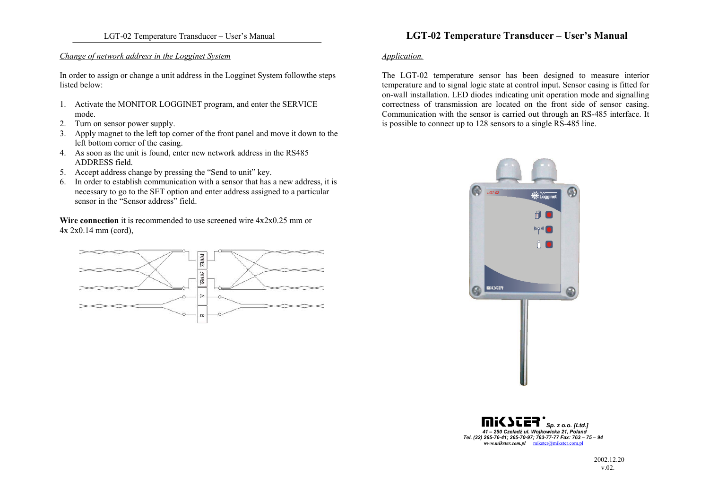#### *Change of network address in the Logginet System*

In order to assign or change a unit address in the Logginet System followthe steps listed below:

- 1. Activate the MONITOR LOGGINET program, and enter the SERVICE mode.
- 2. Turn on sensor power supply.
- 3. Apply magnet to the left top corner of the front panel and move it down to the left bottom corner of the casing.
- 4. As soon as the unit is found, enter new network address in the RS485 ADDRESS field.
- 5. Accept address change by pressing the "Send to unit" key.
- 6. In order to establish communication with a sensor that has a new address, it is necessary to go to the SET option and enter address assigned to a particular sensor in the "Sensor address" field.

**Wire connection** it is recommended to use screened wire  $4x2x0.25$  mm or 4x 2x0.14 mm (cord),



# LGT-02 Temperature Transducer – User's Manual **LGT-02 Temperature Transducer – User's Manual**

### *Application.*

The LGT-02 temperature sensor has been designed to measure interior temperature and to signal logic state at control input. Sensor casing is fitted for on-wall installation. LED diodes indicating unit operation mode and signalling correctness of transmission are located on the front side of sensor casing. Communication with the sensor is carried out through an RS-485 interface. It is possible to connect up to 128 sensors to a single RS-485 line.



*Sp. z o.o. [Ltd.] 41 – 250 Czeladź ul. Wojkowicka 21, Poland Tel. (32) 265-76-41; 265-70-97; 763-77-77 Fax: 763 – 75 – 94 www.mikster.com.pl* mikster@mikster.com.pl

> 2002.12.20 v.02.